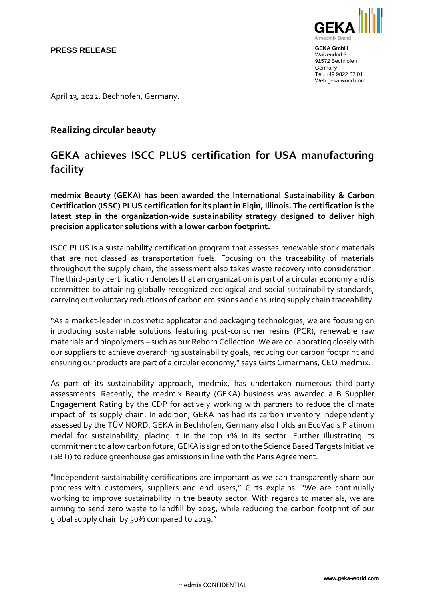

**GEKA GmbH** Waizendorf 3 91572 Bechhofen **Germany** Tel. +49 9822 87 01 Web geka-world.com

April 13, 2022. Bechhofen, Germany.

## **Realizing circular beauty**

## **GEKA achieves ISCC PLUS certification for USA manufacturing facility**

**medmix Beauty (GEKA) has been awarded the International Sustainability & Carbon Certification (ISSC) PLUS certification for its plant in Elgin, Illinois. The certification is the latest step in the organization-wide sustainability strategy designed to deliver high precision applicator solutions with a lower carbon footprint.**

ISCC PLUS is a sustainability certification program that assesses renewable stock materials that are not classed as transportation fuels. Focusing on the traceability of materials throughout the supply chain, the assessment also takes waste recovery into consideration. The third-party certification denotes that an organization is part of a circular economy and is committed to attaining globally recognized ecological and social sustainability standards, carrying out voluntary reductions of carbon emissions and ensuring supply chain traceability.

"As a market-leader in cosmetic applicator and packaging technologies, we are focusing on introducing sustainable solutions featuring post-consumer resins (PCR), renewable raw materials and biopolymers – such as our Reborn Collection. We are collaborating closely with our suppliers to achieve overarching sustainability goals, reducing our carbon footprint and ensuring our products are part of a circular economy," says Girts Cimermans, CEO medmix.

As part of its sustainability approach, medmix, has undertaken numerous third-party assessments. Recently, the medmix Beauty (GEKA) business was awarded a B Supplier Engagement Rating by the CDP for actively working with partners to reduce the climate impact of its supply chain. In addition, GEKA has had its carbon inventory independently assessed by the TÜV NORD. GEKA in Bechhofen, Germany also holds an EcoVadis Platinum medal for sustainability, placing it in the top 1% in its sector. Further illustrating its commitment to a low carbon future, GEKA is signed on to the Science Based Targets Initiative (SBTi) to reduce greenhouse gas emissions in line with the Paris Agreement.

"Independent sustainability certifications are important as we can transparently share our progress with customers, suppliers and end users," Girts explains. "We are continually working to improve sustainability in the beauty sector. With regards to materials, we are aiming to send zero waste to landfill by 2025, while reducing the carbon footprint of our global supply chain by 30% compared to 2019."